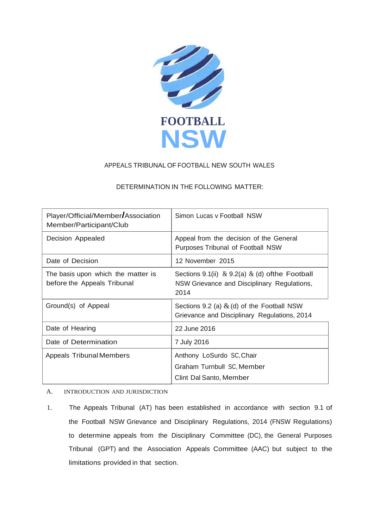

# APPEALS TRIBUNAL OF FOOTBALL NEW SOUTH WALES

## DETERMINATION IN THE FOLLOWING MATTER:

| Player/Official/Member Association<br>Member/Participant/Club     | Simon Lucas y Football NSW                                                                                   |
|-------------------------------------------------------------------|--------------------------------------------------------------------------------------------------------------|
| Decision Appealed                                                 | Appeal from the decision of the General<br>Purposes Tribunal of Football NSW                                 |
| Date of Decision                                                  | 12 November 2015                                                                                             |
| The basis upon which the matter is<br>before the Appeals Tribunal | Sections 9.1(ii) $\&$ 9.2(a) $\&$ (d) of the Football<br>NSW Grievance and Disciplinary Regulations,<br>2014 |
| Ground(s) of Appeal                                               | Sections 9.2 (a) $\&$ (d) of the Football NSW<br>Grievance and Disciplinary Regulations, 2014                |
| Date of Hearing                                                   | 22 June 2016                                                                                                 |
| Date of Determination                                             | 7 July 2016                                                                                                  |
| <b>Appeals Tribunal Members</b>                                   | Anthony LoSurdo SC, Chair                                                                                    |
|                                                                   | Graham Turnbull SC, Member                                                                                   |
|                                                                   | Clint Dal Santo, Member                                                                                      |

## A. INTRODUCTION AND JURISDICTION

1. The Appeals Tribunal (AT) has been established in accordance with section 9.1 of the Football NSW Grievance and Disciplinary Regulations, 2014 (FNSW Regulations) to determine appeals from the Disciplinary Committee (DC), the General Purposes Tribunal (GPT) and the Association Appeals Committee (AAC) but subject to the limitations provided in that section.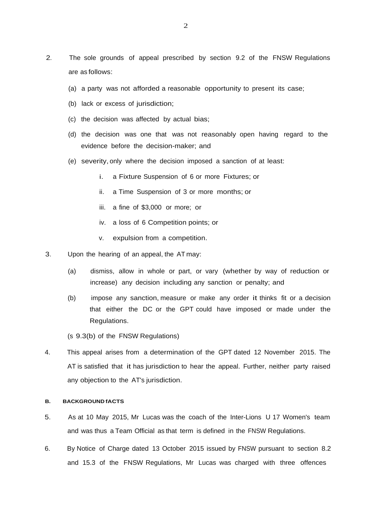- 2. The sole grounds of appeal prescribed by section 9.2 of the FNSW Regulations are as follows:
	- (a) a party was not afforded a reasonable opportunity to present its case;
	- (b) lack or excess of jurisdiction;
	- (c) the decision was affected by actual bias;
	- (d) the decision was one that was not reasonably open having regard to the evidence before the decision-maker; and
	- (e) severity, only where the decision imposed a sanction of at least:
		- i. a Fixture Suspension of 6 or more Fixtures; or
		- ii. a Time Suspension of 3 or more months; or
		- iii. a fine of \$3,000 or more; or
		- iv. a loss of 6 Competition points; or
		- v. expulsion from a competition.
- 3. Upon the hearing of an appeal, the AT may:
	- (a) dismiss, allow in whole or part, or vary (whether by way of reduction or increase) any decision including any sanction or penalty; and
	- (b) impose any sanction, measure or make any order it thinks fit or a decision that either the DC or the GPT could have imposed or made under the Regulations.

(s 9.3(b) of the FNSW Regulations)

4. This appeal arises from a determination of the GPT dated 12 November 2015. The AT is satisfied that it has jurisdiction to hear the appeal. Further, neither party raised any objection to the AT's jurisdiction.

### **B. BACKGROUND fACTS**

- 5. As at 10 May 2015, Mr Lucas was the coach of the Inter-Lions U 17 Women's team and was thus a Team Official as that term is defined in the FNSW Regulations.
- 6. By Notice of Charge dated 13 October 2015 issued by FNSW pursuant to section 8.2 and 15.3 of the FNSW Regulations, Mr Lucas was charged with three offences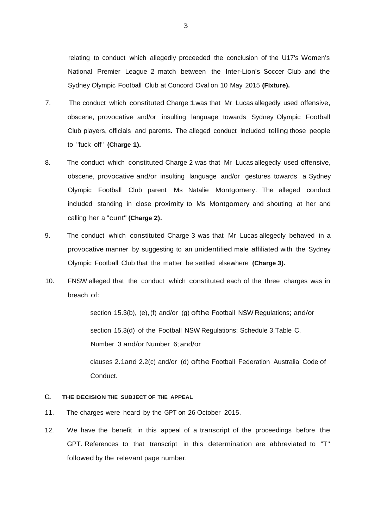relating to conduct which allegedly proceeded the conclusion of the U17's Women's National Premier League 2 match between the Inter-Lion's Soccer Club and the Sydney Olympic Football Club at Concord Oval on 10 May 2015 **(Fixture).**

- 7. The conduct which constituted Charge 1was that Mr Lucas allegedly used offensive, obscene, provocative and/or insulting language towards Sydney Olympic Football Club players, officials and parents. The alleged conduct included telling those people to "fuck off" **(Charge 1).**
- 8. The conduct which constituted Charge 2 was that Mr Lucas allegedly used offensive, obscene, provocative and/or insulting language and/or gestures towards a Sydney Olympic Football Club parent Ms Natalie Montgomery. The alleged conduct included standing in close proximity to Ms Montgomery and shouting at her and calling her a "cunt" **(Charge 2).**
- 9. The conduct which constituted Charge 3 was that Mr Lucas allegedly behaved in a provocative manner by suggesting to an unidentified male affiliated with the Sydney Olympic Football Club that the matter be settled elsewhere **(Charge 3).**
- 10. FNSW alleged that the conduct which constituted each of the three charges was in breach of:

section 15.3(b), (e),(f) and/or (g) ofthe Football NSW Regulations; and/or section 15.3(d) of the Football NSW Regulations: Schedule 3,Table C, Number 3 and/or Number 6; and/or

clauses 2.1and 2.2(c) and/or (d) ofthe Football Federation Australia Code of Conduct.

## **C. THE DECISION THE SUBJECT OF THE APPEAL**

- 11. The charges were heard by the GPT on 26 October 2015.
- 12. We have the benefit in this appeal of a transcript of the proceedings before the GPT. References to that transcript in this determination are abbreviated to ''T'' followed by the relevant page number.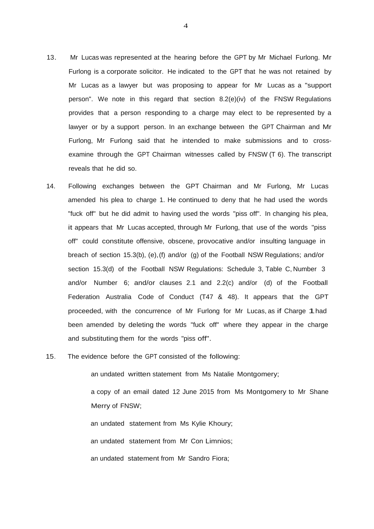- 13. Mr Lucas was represented at the hearing before the GPT by Mr Michael Furlong. Mr Furlong is a corporate solicitor. He indicated to the GPT that he was not retained by Mr Lucas as a lawyer but was proposing to appear for Mr Lucas as a "support person". We note in this regard that section 8.2(e)(iv) of the FNSW Regulations provides that a person responding to a charge may elect to be represented by a lawyer or by a support person. In an exchange between the GPT Chairman and Mr Furlong, Mr Furlong said that he intended to make submissions and to crossexamine through the GPT Chairman witnesses called by FNSW (T 6). The transcript reveals that he did so.
- 14. Following exchanges between the GPT Chairman and Mr Furlong, Mr Lucas amended his plea to charge 1. He continued to deny that he had used the words "fuck off" but he did admit to having used the words "piss off". In changing his plea, it appears that Mr Lucas accepted, through Mr Furlong, that use of the words "piss off" could constitute offensive, obscene, provocative and/or insulting language in breach of section 15.3(b), (e),(f) and/or (g) of the Football NSW Regulations; and/or section 15.3(d) of the Football NSW Regulations: Schedule 3, Table C, Number 3 and/or Number 6; and/or clauses 2.1 and 2.2(c) and/or (d) of the Football Federation Australia Code of Conduct (T47 & 48). It appears that the GPT proceeded, with the concurrence of Mr Furlong for Mr Lucas, as if Charge 1had been amended by deleting the words "fuck off" where they appear in the charge and substituting them for the words "piss off".
- 15. The evidence before the GPT consisted of the following:

an undated written statement from Ms Natalie Montgomery;

a copy of an email dated 12 June 2015 from Ms Montgomery to Mr Shane Merry of FNSW;

an undated statement from Ms Kylie Khoury; an undated statement from Mr Con Limnios; an undated statement from Mr Sandro Fiora;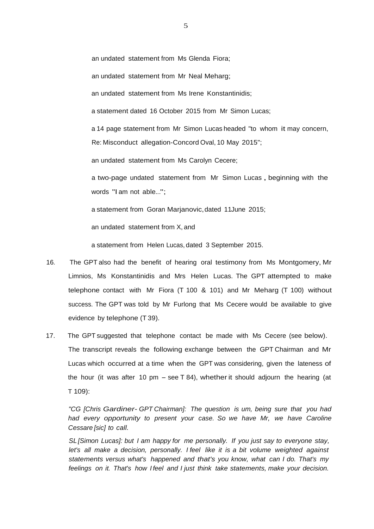an undated statement from Ms Glenda Fiora;

an undated statement from Mr Neal Meharg;

an undated statement from Ms Irene Konstantinidis;

a statement dated 16 October 2015 from Mr Simon Lucas;

a 14 page statement from Mr Simon Lucas headed "to whom it may concern, Re: Misconduct allegation-Concord Oval, 10 May 2015";

an undated statement from Ms Carolyn Cecere;

<sup>a</sup> two-page undated statement from Mr Simon Lucas , beginning with the words "I am not able...";

a statement from Goran Marjanovic,dated 11June 2015;

an undated statement from X, and

a statement from Helen Lucas, dated 3 September 2015.

- 16. The GPT also had the benefit of hearing oral testimony from Ms Montgomery, Mr Limnios, Ms Konstantinidis and Mrs Helen Lucas. The GPT attempted to make telephone contact with Mr Fiora (T 100 & 101) and Mr Meharg (T 100) without success. The GPT was told by Mr Furlong that Ms Cecere would be available to give evidence by telephone (T 39).
- 17. The GPT suggested that telephone contact be made with Ms Cecere (see below). The transcript reveals the following exchange between the GPT Chairman and Mr Lucas which occurred at a time when the GPT was considering, given the lateness of the hour (it was after 10 pm  $-$  see T 84), whether it should adjourn the hearing (at T 109):

*"CG [Chris Gardiner- GPT Chairman]: The question is um, being sure that you had had every opportunity to present your case. So we have Mr, we have Caroline Cessare [sic] to call.*

*SL [Simon Lucas]: but I am happy for me personally. If you just say to everyone stay, let's all make a decision, personally. I feel like it is a bit volume weighted against statements versus what's happened and that's you know, what can I do. That's my feelings on it. That's how I feel and I just think take statements, make your decision.*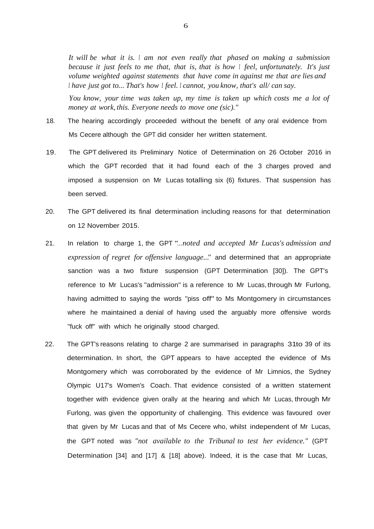*It will be what it is. I am not even really that phased on making a submission because it just feels to me that, that is, that is how I feel, unfortunately. It's just volume weighted against statements that have come in against me that are lies and I have just got to... That's how I feel. I cannot, you know, that's all/ can say.*

*You know, your time was taken up, my time is taken up which costs me a lot of money at work, this. Everyone needs to move one (sic)."*

- 18. The hearing accordingly proceeded without the benefit of any oral evidence from Ms Cecere although the GPT did consider her written statement.
- 19. The GPT delivered its Preliminary Notice of Determination on 26 October 2016 in which the GPT recorded that it had found each of the 3 charges proved and imposed a suspension on Mr Lucas totalling six (6) fixtures. That suspension has been served.
- 20. The GPT delivered its final determination including reasons for that determination on 12 November 2015.
- 21. In relation to charge 1, the GPT *"...noted and accepted Mr Lucas's admission and expression of regret for offensive language..."* and determined that an appropriate sanction was a two fixture suspension (GPT Determination [30]). The GPT's reference to Mr Lucas's "admission" is a reference to Mr Lucas, through Mr Furlong, having admitted to saying the words "piss off" to Ms Montgomery in circumstances where he maintained a denial of having used the arguably more offensive words "fuck off" with which he originally stood charged.
- 22. The GPT's reasons relating to charge 2 are summarised in paragraphs 31to 39 of its determination. In short, the GPT appears to have accepted the evidence of Ms Montgomery which was corroborated by the evidence of Mr Limnios, the Sydney Olympic U17's Women's Coach. That evidence consisted of a written statement together with evidence given orally at the hearing and which Mr Lucas, through Mr Furlong, was given the opportunity of challenging. This evidence was favoured over that given by Mr Lucas and that of Ms Cecere who, whilst independent of Mr Lucas, the GPT noted was *"not available to the Tribunal to test her evidence."* (GPT Determination [34] and [17] & [18] above). Indeed, it is the case that Mr Lucas,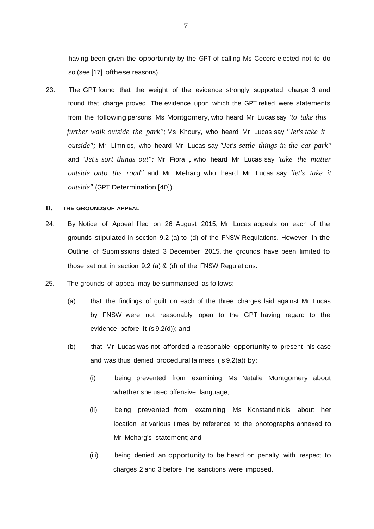having been given the opportunity by the GPT of calling Ms Cecere elected not to do so (see [17] ofthese reasons).

23. The GPT found that the weight of the evidence strongly supported charge 3 and found that charge proved. The evidence upon which the GPT relied were statements from the following persons: Ms Montgomery, who heard Mr Lucas say *"to take this further walk outside the park'';* Ms Khoury, who heard Mr Lucas say *"Jet's take it outside";* Mr Limnios, who heard Mr Lucas say *"Jet's settle things in the car park''*  and *"Jet's sort things out";* Mr Fiora , who heard Mr Lucas say *"take the matter outside onto the road"* and Mr Meharg who heard Mr Lucas say *"let's take it outside"* (GPT Determination [40]).

### **D. THE GROUNDS OF APPEAL**

- 24. By Notice of Appeal filed on 26 August 2015, Mr Lucas appeals on each of the grounds stipulated in section 9.2 (a) to (d) of the FNSW Regulations. However, in the Outline of Submissions dated 3 December 2015, the grounds have been limited to those set out in section 9.2 (a) & (d) of the FNSW Regulations.
- 25. The grounds of appeal may be summarised as follows:
	- (a) that the findings of guilt on each of the three charges laid against Mr Lucas by FNSW were not reasonably open to the GPT having regard to the evidence before it (s 9.2(d)); and
	- (b) that Mr Lucas was not afforded a reasonable opportunity to present his case and was thus denied procedural fairness ( s 9.2(a)) by:
		- (i) being prevented from examining Ms Natalie Montgomery about whether she used offensive language;
		- (ii) being prevented from examining Ms Konstandinidis about her location at various times by reference to the photographs annexed to Mr Meharg's statement;and
		- (iii) being denied an opportunity to be heard on penalty with respect to charges 2 and 3 before the sanctions were imposed.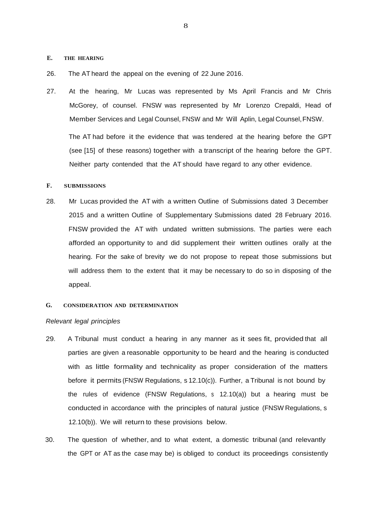### **E. THE HEARING**

- 26. The AT heard the appeal on the evening of 22 June 2016.
- 27. At the hearing, Mr Lucas was represented by Ms April Francis and Mr Chris McGorey, of counsel. FNSW was represented by Mr Lorenzo Crepaldi, Head of Member Services and Legal Counsel, FNSW and Mr Will Aplin, Legal Counsel,FNSW.

The AT had before it the evidence that was tendered at the hearing before the GPT (see [15] of these reasons) together with a transcript of the hearing before the GPT. Neither party contended that the AT should have regard to any other evidence.

#### **F. SUBMISSIONS**

28. Mr Lucas provided the AT with a written Outline of Submissions dated 3 December 2015 and a written Outline of Supplementary Submissions dated 28 February 2016. FNSW provided the AT with undated written submissions. The parties were each afforded an opportunity to and did supplement their written outlines orally at the hearing. For the sake of brevity we do not propose to repeat those submissions but will address them to the extent that it may be necessary to do so in disposing of the appeal.

## **G. CONSIDERATION AND DETERMINATION**

#### *Relevant legal principles*

- 29. A Tribunal must conduct a hearing in any manner as it sees fit, provided that all parties are given a reasonable opportunity to be heard and the hearing is conducted with as little formality and technicality as proper consideration of the matters before it permits (FNSW Regulations, s 12.10(c)). Further, a Tribunal is not bound by the rules of evidence (FNSW Regulations, s 12.10(a)) but a hearing must be conducted in accordance with the principles of natural justice (FNSW Regulations, s 12.10(b)). We will return to these provisions below.
- 30. The question of whether, and to what extent, a domestic tribunal (and relevantly the GPT or AT as the case may be) is obliged to conduct its proceedings consistently

8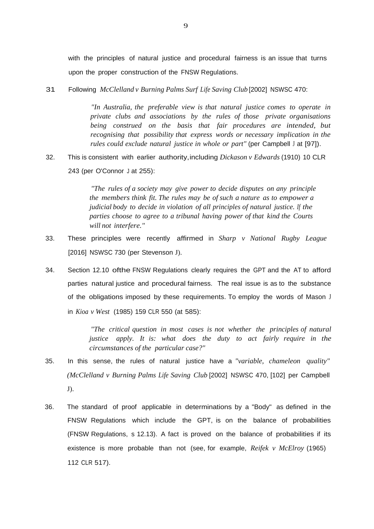with the principles of natural justice and procedural fairness is an issue that turns upon the proper construction of the FNSW Regulations.

31. Following *McClelland v Burning Palms Surf Life Saving Club* [2002] NSWSC 470:

*"In Australia, the preferable view is that natural justice comes to operate in private clubs and associations by the rules of those private organisations being construed on the basis that fair procedures are intended, but recognising that possibility that express words or necessary implication in the rules could exclude natural justice in whole or part"* (per Campbell <sup>J</sup> at [97]).

32. This is consistent with earlier authority,including *Dickason v Edwards* (1910) 10 CLR 243 (per O'Connor J at 255):

> *"The rules of a society may give power to decide disputes on any principle the members think fit. The rules may be of such a nature as to empower a judicial body to decide in violation of all principles of natural justice. If the parties choose to agree to a tribunal having power of that kind the Courts will not interfere."*

- 33. These principles were recently affirmed in *Sharp v National Rugby League* [2016] NSWSC 730 (per Stevenson J).
- 34. Section 12.10 ofthe FNSW Regulations clearly requires the GPT and the AT to afford parties natural justice and procedural fairness. The real issue is as to the substance of the obligations imposed by these requirements. To employ the words of Mason J in *Kioa v West* (1985) 159 CLR 550 (at 585):

*"The critical question in most cases is not whether the principles of natural justice apply. It is: what does the duty to act fairly require in the circumstances of the particular case?"*

- 35. In this sense, the rules of natural justice have a *"variable, chameleon quality" (McClelland v Burning Palms Life Saving Club* [2002] NSWSC 470, [102] per Campbell J).
- 36. The standard of proof applicable in determinations by a "Body" as defined in the FNSW Regulations which include the GPT, is on the balance of probabilities (FNSW Regulations, s 12.13). A fact is proved on the balance of probabilities if its existence is more probable than not (see, for example, *Reifek v McElroy* (1965) 112 CLR 517).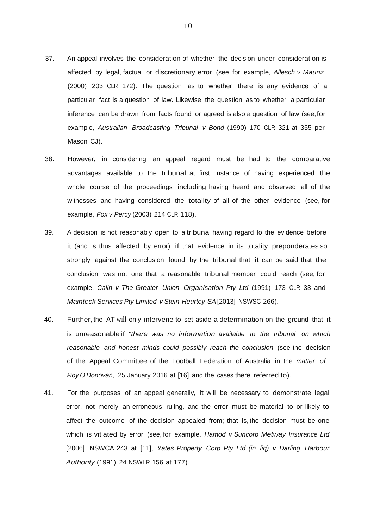- 37. An appeal involves the consideration of whether the decision under consideration is affected by legal, factual or discretionary error (see, for example, *Allesch v Maunz*  (2000) 203 CLR 172). The question as to whether there is any evidence of a particular fact is a question of law. Likewise, the question as to whether a particular inference can be drawn from facts found or agreed is also a question of law (see,for example, *Australian Broadcasting Tribunal v Bond* (1990) 170 CLR 321 at 355 per Mason CJ).
- 38. However, in considering an appeal regard must be had to the comparative advantages available to the tribunal at first instance of having experienced the whole course of the proceedings including having heard and observed all of the witnesses and having considered the totality of all of the other evidence (see, for example, *Fox v Percy* (2003) 214 CLR 118).
- 39. A decision is not reasonably open to a tribunal having regard to the evidence before it (and is thus affected by error) if that evidence in its totality preponderates so strongly against the conclusion found by the tribunal that it can be said that the conclusion was not one that a reasonable tribunal member could reach (see, for example, *Calin v The Greater Union Organisation Pty Ltd* (1991) 173 CLR 33 and *Mainteck Services Pty Limited v Stein Heurtey SA*[2013] NSWSC 266).
- 40. Further, the AT will only intervene to set aside a determination on the ground that it is unreasonable if *"there was no information available to the tribunal on which reasonable and honest minds could possibly reach the conclusion* (see the decision of the Appeal Committee of the Football Federation of Australia in the *matter of Roy O'Donovan,* 25 January 2016 at [16] and the cases there referred to).
- 41. For the purposes of an appeal generally, it will be necessary to demonstrate legal error, not merely an erroneous ruling, and the error must be material to or likely to affect the outcome of the decision appealed from; that is, the decision must be one which is vitiated by error (see, for example, *Hamod v Suncorp Metway Insurance Ltd*  [2006] NSWCA 243 at [11], *Yates Property Corp Pty Ltd (in liq) v Darling Harbour Authority* (1991) 24 NSWLR 156 at 177).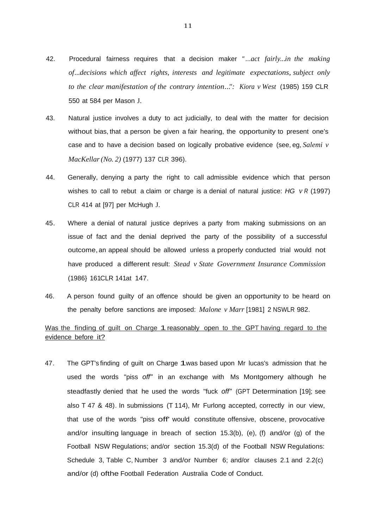- 42. Procedural fairness requires that a decision maker *" ...act fairly...in the making of...decisions which affect rights, interests and legitimate expectations, subject only to the clear manifestation of the contrary intention...": Kiora v West* (1985) 159 CLR 550 at 584 per Mason J.
- 43. Natural justice involves a duty to act judicially, to deal with the matter for decision without bias, that a person be given a fair hearing, the opportunity to present one's case and to have a decision based on logically probative evidence (see, eg, *Salemi v MacKellar(No. 2)* (1977) 137 CLR 396).
- 44. Generally, denying a party the right to call admissible evidence which that person wishes to call to rebut a claim or charge is a denial of natural justice: *HG v <sup>R</sup>* (1997) CLR 414 at [97] per McHugh J.
- 45. Where a denial of natural justice deprives a party from making submissions on an issue of fact and the denial deprived the party of the possibility of a successful outcome, an appeal should be allowed unless a properly conducted trial would not have produced a different result: *Stead v State Government Insurance Commission*  (1986} 161CLR 141at 147.
- 46. A person found guilty of an offence should be given an opportunity to be heard on the penalty before sanctions are imposed: *Malone v Marr* [1981] 2 NSWLR 982.

# Was the finding of guilt on Charge 1 reasonably open to the GPT having regard to the evidence before it?

47. The GPT's finding of guilt on Charge 1was based upon Mr lucas's admission that he used the words "piss *off"* in an exchange with Ms Montgomery although he steadfastly denied that he used the words "fuck *off"* (GPT Determination [19]; see also T 47 & 48). In submissions (T 114), Mr Furlong accepted, correctly in our view, that use of the words "piss off' would constitute offensive, obscene, provocative and/or insulting language in breach of section 15.3(b), (e), (f) and/or (g) of the Football NSW Regulations; and/or section 15.3(d) of the Football NSW Regulations: Schedule 3, Table C, Number 3 and/or Number 6; and/or clauses 2.1 and 2.2(c) and/or (d) ofthe Football Federation Australia Code of Conduct.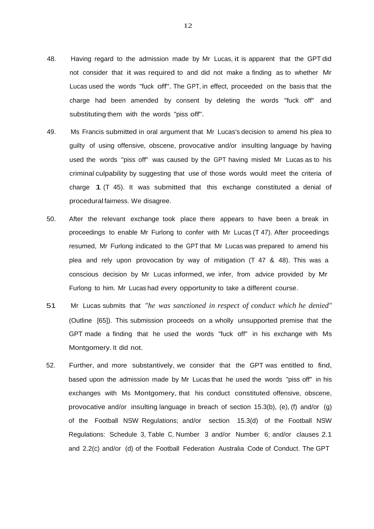- 48. Having regard to the admission made by Mr Lucas, it is apparent that the GPT did not consider that it was required to and did not make a finding as to whether Mr Lucas used the words "fuck off". The GPT, in effect, proceeded on the basis that the charge had been amended by consent by deleting the words "fuck off" and substituting them with the words "piss off".
- 49. Ms Francis submitted in oral argument that Mr Lucas's decision to amend his plea to guilty of using offensive, obscene, provocative and/or insulting language by having used the words "piss off" was caused by the GPT having misled Mr Lucas as to his criminal culpability by suggesting that use of those words would meet the criteria of charge  $1$  (T 45). It was submitted that this exchange constituted a denial of procedural fairness. We disagree.
- 50. After the relevant exchange took place there appears to have been a break in proceedings to enable Mr Furlong to confer with Mr Lucas (T 47). After proceedings resumed, Mr Furlong indicated to the GPT that Mr Lucas was prepared to amend his plea and rely upon provocation by way of mitigation (T 47 & 48). This was a conscious decision by Mr Lucas informed, we infer, from advice provided by Mr Furlong to him. Mr Lucas had every opportunity to take a different course.
- 51. Mr Lucas submits that *"he was sanctioned in respect of conduct which he denied"*  (Outline [65]). This submission proceeds on a wholly unsupported premise that the GPT made a finding that he used the words "fuck off" in his exchange with Ms Montgomery. It did not.
- 52. Further, and more substantively, we consider that the GPT was entitled to find, based upon the admission made by Mr Lucas that he used the words "piss off" in his exchanges with Ms Montgomery, that his conduct constituted offensive, obscene, provocative and/or insulting language in breach of section 15.3(b), (e), (f) and/or (g) of the Football NSW Regulations; and/or section 15.3(d) of the Football NSW Regulations: Schedule 3, Table C, Number 3 and/or Number 6; and/or clauses 2.1 and 2.2(c) and/or (d) of the Football Federation Australia Code of Conduct. The GPT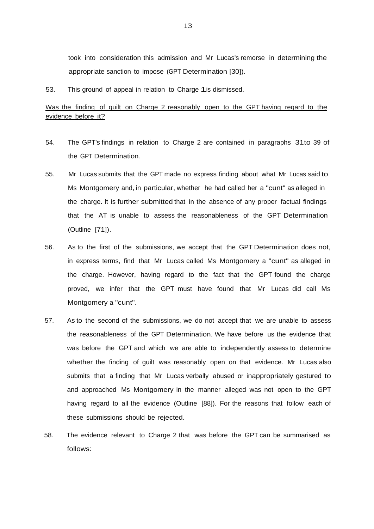took into consideration this admission and Mr Lucas's remorse in determining the appropriate sanction to impose (GPT Determination [30]).

53. This ground of appeal in relation to Charge 1is dismissed.

# Was the finding of guilt on Charge 2 reasonably open to the GPT having regard to the evidence before it?

- 54. The GPT's findings in relation to Charge 2 are contained in paragraphs 31to 39 of the GPT Determination.
- 55. Mr Lucas submits that the GPT made no express finding about what Mr Lucas said to Ms Montgomery and, in particular, whether he had called her a "cunt" as alleged in the charge. It is further submitted that in the absence of any proper factual findings that the AT is unable to assess the reasonableness of the GPT Determination (Outline [71]).
- 56. As to the first of the submissions, we accept that the GPT Determination does not, in express terms, find that Mr Lucas called Ms Montgomery a "cunt" as alleged in the charge. However, having regard to the fact that the GPT found the charge proved, we infer that the GPT must have found that Mr Lucas did call Ms Montgomery a "cunt".
- 57. As to the second of the submissions, we do not accept that we are unable to assess the reasonableness of the GPT Determination. We have before us the evidence that was before the GPT and which we are able to independently assess to determine whether the finding of guilt was reasonably open on that evidence. Mr Lucas also submits that a finding that Mr Lucas verbally abused or inappropriately gestured to and approached Ms Montgomery in the manner alleged was not open to the GPT having regard to all the evidence (Outline [88]). For the reasons that follow each of these submissions should be rejected.
- 58. The evidence relevant to Charge 2 that was before the GPT can be summarised as follows: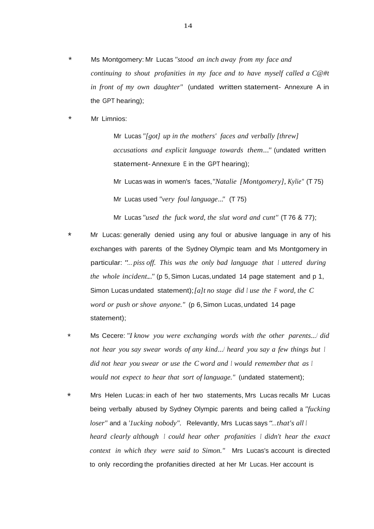- \* Ms Montgomery: Mr Lucas *"stood an inch away from my face and continuing to shout profanities in my face and to have myself called a C@#t in front of my own daughter"* (undated written statement- Annexure A in the GPT hearing);
- \* Mr Limnios:

Mr Lucas *"[got] up in the mothers' faces and verbally [threw] accusations and explicit language towards them..."* (undated written statement-Annexure <sup>E</sup> in the GPT hearing);

Mr Lucas was in women's faces,*"Natalie [Montgomery], Kylie"* (T 75) Mr Lucas used *"very foul language..."* (T 75)

Mr Lucas *"used the fuck word, the slut word and cunt''* (T 76 & 77);

- Mr Lucas: generally denied using any foul or abusive language in any of his exchanges with parents of the Sydney Olympic team and Ms Montgomery in particular: *"...piss off. This was the only bad language that I uttered during the whole incident..."* (p 5, Simon Lucas,undated 14 page statement and p 1, Simon Lucas undated statement);*[a]t no stage did <sup>I</sup> use the <sup>F</sup> word, the C word or push or shove anyone."* (p 6,Simon Lucas, undated 14 page statement);
- \* Ms Cecere: *"I know you were exchanging words with the other parents.../ did not hear you say swear words of any kind.../ heard you say a few things but I did not hear you swear or use the Cword and I would remember that as <sup>I</sup> would not expect to hear that sort of language."* (undated statement);
- \* Mrs Helen Lucas: in each of her two statements, Mrs Lucas recalls Mr Lucas being verbally abused by Sydney Olympic parents and being called a *"fucking loser"* and a *'1ucking nobody".* Relevantly, Mrs Lucas says *"...that's all <sup>I</sup> heard clearly although I could hear other profanities I didn't hear the exact context in which they were said to Simon."* Mrs Lucas's account is directed to only recording the profanities directed at her Mr Lucas. Her account is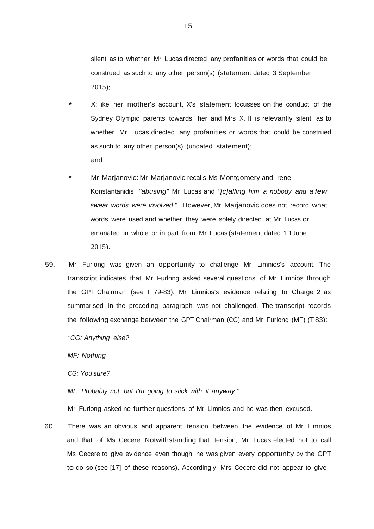silent as to whether Mr Lucas directed any profanities or words that could be construed as such to any other person(s) (statement dated 3 September 2015);

- \* X: like her mother's account, X's statement focusses on the conduct of the Sydney Olympic parents towards her and Mrs X. It is relevantly silent as to whether Mr Lucas directed any profanities or words that could be construed as such to any other person(s) (undated statement); and
- Mr Marjanovic: Mr Marjanovic recalls Ms Montgomery and Irene Konstantanidis *"abusing"* Mr Lucas and *"[c]alling him a nobody and a few swear words were involved."* However, Mr Marjanovic does not record what words were used and whether they were solely directed at Mr Lucas or emanated in whole or in part from Mr Lucas (statement dated 11June 2015).
- 59. Mr Furlong was given an opportunity to challenge Mr Limnios's account. The transcript indicates that Mr Furlong asked several questions of Mr Limnios through the GPT Chairman (see T 79-83). Mr Limnios's evidence relating to Charge 2 as summarised in the preceding paragraph was not challenged. The transcript records the following exchange between the GPT Chairman (CG) and Mr Furlong (MF) (T 83):

*"CG: Anything else?* 

*MF: Nothing*

*CG: You sure?*

*MF: Probably not, but I'm going to stick with it anyway."*

Mr Furlong asked no further questions of Mr Limnios and he was then excused.

60. There was an obvious and apparent tension between the evidence of Mr Limnios and that of Ms Cecere. Notwithstanding that tension, Mr Lucas elected not to call Ms Cecere to give evidence even though he was given every opportunity by the GPT to do so (see [17] of these reasons). Accordingly, Mrs Cecere did not appear to give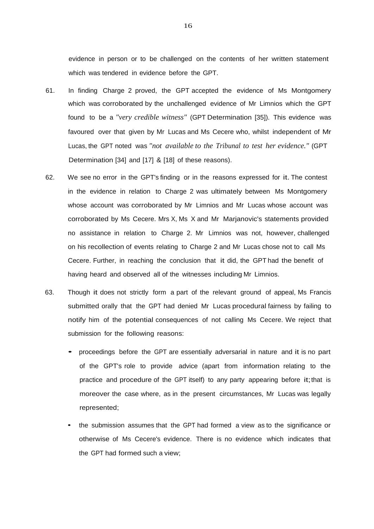evidence in person or to be challenged on the contents of her written statement which was tendered in evidence before the GPT.

- 61. In finding Charge 2 proved, the GPT accepted the evidence of Ms Montgomery which was corroborated by the unchallenged evidence of Mr Limnios which the GPT found to be a *"very credible witness"* (GPT Determination [35]). This evidence was favoured over that given by Mr Lucas and Ms Cecere who, whilst independent of Mr Lucas, the GPT noted was *"not available to the Tribunal to test her evidence."* (GPT Determination [34] and [17] & [18] of these reasons).
- 62. We see no error in the GPT's finding or in the reasons expressed for it. The contest in the evidence in relation to Charge 2 was ultimately between Ms Montgomery whose account was corroborated by Mr Limnios and Mr Lucas whose account was corroborated by Ms Cecere. Mrs X, Ms X and Mr Marjanovic's statements provided no assistance in relation to Charge 2. Mr Limnios was not, however, challenged on his recollection of events relating to Charge 2 and Mr Lucas chose not to call Ms Cecere. Further, in reaching the conclusion that it did, the GPT had the benefit of having heard and observed all of the witnesses including Mr Limnios.
- 63. Though it does not strictly form a part of the relevant ground of appeal, Ms Francis submitted orally that the GPT had denied Mr Lucas procedural fairness by failing to notify him of the potential consequences of not calling Ms Cecere. We reject that submission for the following reasons:
	- proceedings before the GPT are essentially adversarial in nature and it is no part of the GPT's role to provide advice (apart from information relating to the practice and procedure of the GPT itself) to any party appearing before it;that is moreover the case where, as in the present circumstances, Mr Lucas was legally represented;
	- the submission assumes that the GPT had formed a view as to the significance or otherwise of Ms Cecere's evidence. There is no evidence which indicates that the GPT had formed such a view;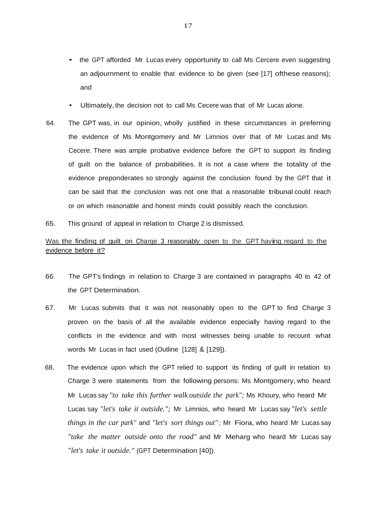- the GPT afforded Mr Lucas every opportunity to call Ms Cercere even suggesting an adjournment to enable that evidence to be given (see [17] ofthese reasons); and
- Ultimately, the decision not to call Ms Cecere was that of Mr Lucas alone.
- 64. The GPT was, in our opinion, wholly justified in these circumstances in preferring the evidence of Ms Montgomery and Mr Limnios over that of Mr Lucas and Ms Cecere. There was ample probative evidence before the GPT to support its finding of guilt on the balance of probabilities. It is not a case where the totality of the evidence preponderates so strongly against the conclusion found by the GPT that it can be said that the conclusion was not one that a reasonable tribunal could reach or on which reasonable and honest minds could possibly reach the conclusion.
- 65. This ground of appeal in relation to Charge 2 is dismissed.

## Was the finding of guilt on Charge 3 reasonably open to the GPT having regard to the evidence before it?

- 66. The GPT's findings in relation to Charge 3 are contained in paragraphs 40 to 42 of the GPT Determination.
- 67. Mr Lucas submits that it was not reasonably open to the GPT to find Charge 3 proven on the basis of all the available evidence especially having regard to the conflicts in the evidence and with most witnesses being unable to recount what words Mr Lucas in fact used (Outline [128] & [129]).
- 68. The evidence upon which the GPT relied to support its finding of guilt in relation to Charge 3 were statements from the following persons: Ms Montgomery, who heard Mr Lucas say *"to take this further walk outside the park";* Ms Khoury, who heard Mr Lucas say *"let's take it outside.";* Mr Limnios, who heard Mr Lucas say *"let's settle things in the car park''* and *"let's sort things out'' ;* Mr Fiora, who heard Mr Lucas say *"take the matter outside onto the road"* and Mr Meharg who heard Mr Lucas say *"let's take it outside."* (GPT Determination [40]).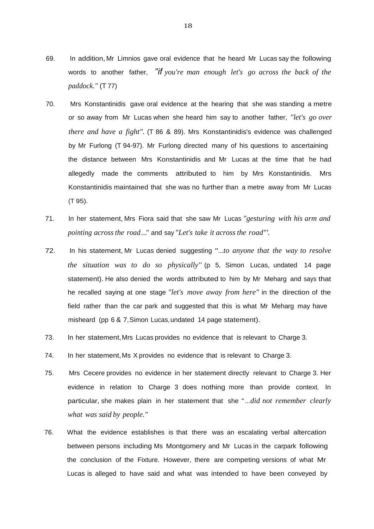- 69. In addition, Mr Limnios gave oral evidence that he heard Mr Lucas say the following words to another father, *"if you're man enough let's go across the back of the paddock."* (T 77)
- 70. Mrs Konstantinidis gave oral evidence at the hearing that she was standing a metre or so away from Mr Lucas when she heard him say to another father, *"let's go over there and have a fight".* (T 86 & 89). Mrs Konstantinidis's evidence was challenged by Mr Furlong (T 94-97). Mr Furlong directed many of his questions to ascertaining the distance between Mrs Konstantinidis and Mr Lucas at the time that he had allegedly made the comments attributed to him by Mrs Konstantinidis. Mrs Konstantinidis maintained that she was no further than a metre away from Mr Lucas (T 95).
- 71. In her statement, Mrs Fiora said that she saw Mr Lucas *"gesturing with his arm and pointing acrossthe road..."* and say *"Let's take it across the road"'.*
- 72. In his statement, Mr Lucas denied suggesting *"...to anyone that the way to resolve the situation was to do so physically''* (p 5, Simon Lucas, undated 14 page statement). He also denied the words attributed to him by Mr Meharg and says that he recalled saying at one stage *"let's move away from here"* in the direction of the field rather than the car park and suggested that this is what Mr Meharg may have misheard (pp 6 & 7,Simon Lucas,undated 14 page statement).
- 73. In her statement,Mrs Lucas provides no evidence that is relevant to Charge 3.
- 74. In her statement, Ms X provides no evidence that is relevant to Charge 3.
- 75. Mrs Cecere provides no evidence in her statement directly relevant to Charge 3. Her evidence in relation to Charge 3 does nothing more than provide context. In particular, she makes plain in her statement that she *" ...did not remember clearly what was said by people."*
- 76. What the evidence establishes is that there was an escalating verbal altercation between persons including Ms Montgomery and Mr Lucas in the carpark following the conclusion of the Fixture. However, there are competing versions of what Mr Lucas is alleged to have said and what was intended to have been conveyed by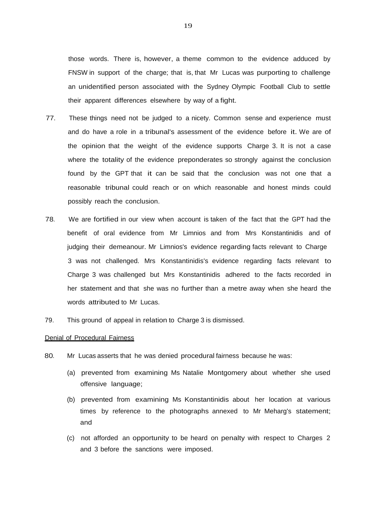those words. There is, however, a theme common to the evidence adduced by FNSW in support of the charge; that is, that Mr Lucas was purporting to challenge an unidentified person associated with the Sydney Olympic Football Club to settle their apparent differences elsewhere by way of a fight.

- 77. These things need not be judged to a nicety. Common sense and experience must and do have a role in a tribunal's assessment of the evidence before it. We are of the opinion that the weight of the evidence supports Charge 3. It is not a case where the totality of the evidence preponderates so strongly against the conclusion found by the GPT that it can be said that the conclusion was not one that a reasonable tribunal could reach or on which reasonable and honest minds could possibly reach the conclusion.
- 78. We are fortified in our view when account is taken of the fact that the GPT had the benefit of oral evidence from Mr Limnios and from Mrs Konstantinidis and of judging their demeanour. Mr Limnios's evidence regarding facts relevant to Charge 3 was not challenged. Mrs Konstantinidis's evidence regarding facts relevant to Charge 3 was challenged but Mrs Konstantinidis adhered to the facts recorded in her statement and that she was no further than a metre away when she heard the words attributed to Mr Lucas.
- 79. This ground of appeal in relation to Charge 3 is dismissed.

## Denial of Procedural Fairness

- 80. Mr Lucas asserts that he was denied procedural fairness because he was:
	- (a) prevented from examining Ms Natalie Montgomery about whether she used offensive language;
	- (b) prevented from examining Ms Konstantinidis about her location at various times by reference to the photographs annexed to Mr Meharg's statement; and
	- (c) not afforded an opportunity to be heard on penalty with respect to Charges 2 and 3 before the sanctions were imposed.

19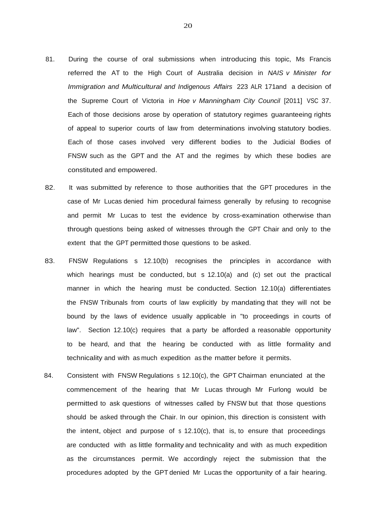- 81. During the course of oral submissions when introducing this topic, Ms Francis referred the AT to the High Court of Australia decision in *NAIS v Minister for Immigration and Multicultural and Indigenous Affairs* 223 ALR 171and a decision of the Supreme Court of Victoria in *Hoe v Manningham City Council* [2011] VSC 37. Each of those decisions arose by operation of statutory regimes guaranteeing rights of appeal to superior courts of law from determinations involving statutory bodies. Each of those cases involved very different bodies to the Judicial Bodies of FNSW such as the GPT and the AT and the regimes by which these bodies are constituted and empowered.
- 82. It was submitted by reference to those authorities that the GPT procedures in the case of Mr Lucas denied him procedural fairness generally by refusing to recognise and permit Mr Lucas to test the evidence by cross-examination otherwise than through questions being asked of witnesses through the GPT Chair and only to the extent that the GPT permitted those questions to be asked.
- 83. FNSW Regulations s 12.10(b) recognises the principles in accordance with which hearings must be conducted, but s 12.10(a) and (c) set out the practical manner in which the hearing must be conducted. Section 12.10(a) differentiates the FNSW Tribunals from courts of law explicitly by mandating that they will not be bound by the laws of evidence usually applicable in "to proceedings in courts of law". Section 12.10(c) requires that a party be afforded a reasonable opportunity to be heard, and that the hearing be conducted with as little formality and technicality and with as much expedition as the matter before it permits.
- 84. Consistent with FNSW Regulations s 12.10(c), the GPT Chairman enunciated at the commencement of the hearing that Mr Lucas through Mr Furlong would be permitted to ask questions of witnesses called by FNSW but that those questions should be asked through the Chair. In our opinion, this direction is consistent with the intent, object and purpose of s 12.10(c), that is, to ensure that proceedings are conducted with as little formality and technicality and with as much expedition as the circumstances permit. We accordingly reject the submission that the procedures adopted by the GPT denied Mr Lucas the opportunity of a fair hearing.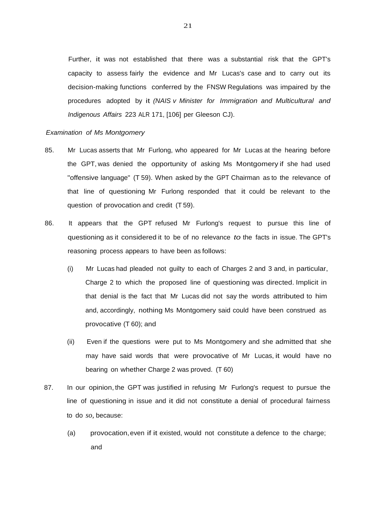Further, it was not established that there was a substantial risk that the GPT's capacity to assess fairly the evidence and Mr Lucas's case and to carry out its decision-making functions conferred by the FNSW Regulations was impaired by the procedures adopted by it *(NAIS v Minister for Immigration and Multicultural and Indigenous Affairs* 223 ALR 171, [106] per Gleeson CJ).

#### *Examination of Ms Montgomery*

- 85. Mr Lucas asserts that Mr Furlong, who appeared for Mr Lucas at the hearing before the GPT, was denied the opportunity of asking Ms Montgomery if she had used "offensive language" (T 59). When asked by the GPT Chairman as to the relevance of that line of questioning Mr Furlong responded that it could be relevant to the question of provocation and credit (T 59).
- 86. It appears that the GPT refused Mr Furlong's request to pursue this line of questioning as it considered it to be of no relevance *to* the facts in issue. The GPT's reasoning process appears to have been as follows:
	- (i) Mr Lucas had pleaded not guilty to each of Charges 2 and 3 and, in particular, Charge 2 to which the proposed line of questioning was directed. Implicit in that denial is the fact that Mr Lucas did not say the words attributed to him and, accordingly, nothing Ms Montgomery said could have been construed as provocative (T 60); and
	- (ii) Even if the questions were put to Ms Montgomery and she admitted that she may have said words that were provocative of Mr Lucas, it would have no bearing on whether Charge 2 was proved. (T 60)
- 87. In our opinion, the GPT was justified in refusing Mr Furlong's request to pursue the line of questioning in issue and it did not constitute a denial of procedural fairness to do *so,* because:
	- (a) provocation,even if it existed, would not constitute a defence to the charge; and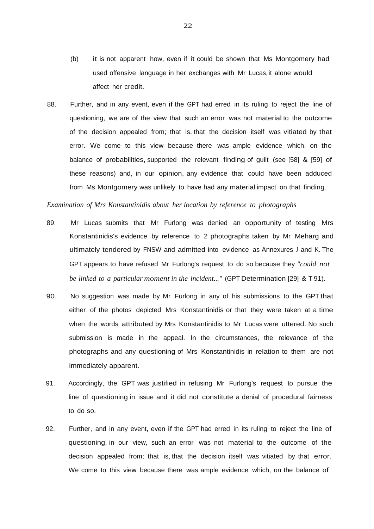- (b) it is not apparent how, even if it could be shown that Ms Montgomery had used offensive language in her exchanges with Mr Lucas, it alone would affect her credit.
- 88. Further, and in any event, even if the GPT had erred in its ruling to reject the line of questioning, we are of the view that such an error was not material to the outcome of the decision appealed from; that is, that the decision itself was vitiated by that error. We come to this view because there was ample evidence which, on the balance of probabilities, supported the relevant finding of guilt (see [58] & [59] of these reasons) and, in our opinion, any evidence that could have been adduced from Ms Montgomery was unlikely to have had any material impact on that finding.

## *Examination of Mrs Konstantinidis about her location by reference to photographs*

- 89. Mr Lucas submits that Mr Furlong was denied an opportunity of testing Mrs Konstantinidis's evidence by reference to 2 photographs taken by Mr Meharg and ultimately tendered by FNSW and admitted into evidence as Annexures J and K. The GPT appears to have refused Mr Furlong's request to do so because they *"could not be linked to a particular moment in the incident..."* (GPT Determination [29] & T 91).
- 90. No suggestion was made by Mr Furlong in any of his submissions to the GPT that either of the photos depicted Mrs Konstantinidis or that they were taken at a time when the words attributed by Mrs Konstantinidis to Mr Lucas were uttered. No such submission is made in the appeal. In the circumstances, the relevance of the photographs and any questioning of Mrs Konstantinidis in relation to them are not immediately apparent.
- 91. Accordingly, the GPT was justified in refusing Mr Furlong's request to pursue the line of questioning in issue and it did not constitute a denial of procedural fairness to do so.
- 92. Further, and in any event, even if the GPT had erred in its ruling to reject the line of questioning, in our view, such an error was not material to the outcome of the decision appealed from; that is, that the decision itself was vitiated by that error. We come to this view because there was ample evidence which, on the balance of